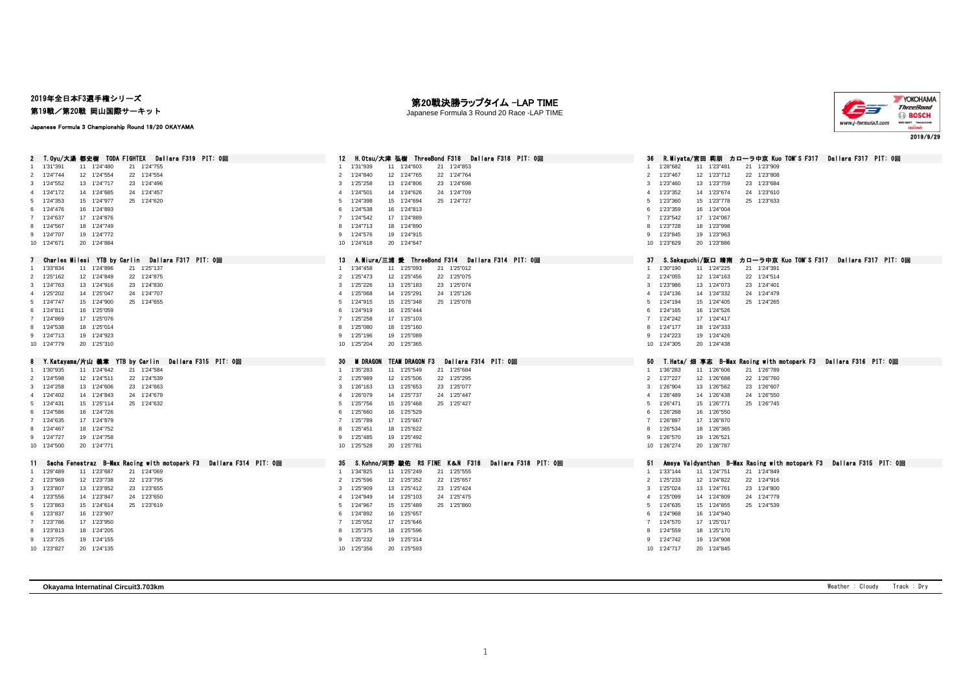## 2019年全日本F3選手権シリーズ

第19戦/第20戦 岡山国際サーキット

## Japanese Formula 3 Championship Round 19/20 OKAYAMA

第20戦決勝ラップタイム -LAP TIME





| T.Ovu/大湯 都史樹 TODA FIGHTEX Dallara F319 PIT: 0回                                  | H.Otsu/大津 弘樹 ThreeBond F318 Dallara F318 PIT: 0回                       | - R.Mivata/宮田 莉朋 カローラ中京 Kuo TOM'S F317 - Dallara F317 - PIT: 0回<br>36      |
|---------------------------------------------------------------------------------|------------------------------------------------------------------------|----------------------------------------------------------------------------|
| 11 1'24"480<br>1'31"391<br>21 1'24"755                                          | 21 1'24"853<br>1'31"939<br>11 1'24"603<br>$\overline{1}$               | 1'28"682<br>11 1'23"481<br>21 1'23"909                                     |
| 22 1'24"554<br>2 1'24"744<br>12 1'24"554                                        | 22 1'24"764<br>12 1'24"765<br>$\overline{2}$<br>1'24"840               | 22 1'23"808<br>2 1'23"467<br>12 1'23"712                                   |
| 3 1'24"552<br>13 1'24"717<br>23 1'24"496                                        | 23 1'24"698<br>3<br>1'25"258<br>13 1'24"806                            | 23 1'23"684<br>1'23"460<br>13 1'23"759<br>3                                |
| 4 1'24"172<br>14 1'24"685<br>24 1'24"457                                        | 1'24"501<br>14 1'24"626<br>24 1'24"709<br>$\overline{4}$               | 1'23"352<br>14 1'23"674<br>24 1'23"610<br>4                                |
| 15 1'24"977<br>5 1'24"353<br>25 1'24"620                                        | 25 1'24"727<br>5<br>1'24"398<br>15 1'24"694                            | 25 1'23"633<br>1'23"360<br>15 1'23"778<br>-5                               |
| 16 1'24"893<br>6 1'24"476                                                       | 16 1'24"813<br>1'24"538<br>-6                                          | 16 1'24"004<br>1'23"359<br>-6                                              |
| 17 1'24"876<br>7 1'24"637                                                       | 17 1'24"889<br>$\overline{7}$<br>1'24"542                              | 1'23"542<br>17 1'24"067                                                    |
| 18 1'24"749<br>8 1'24"567                                                       | 18 1'24"890<br>1'24"713<br>8                                           | 18 1'23"998<br>1'23"728                                                    |
| 9 1'24"707<br>19 1'24"772                                                       | 9 1'24"576<br>19 1'24"915                                              | 9 1'23"845<br>19 1'23"963                                                  |
| 20 1'24"884<br>10 1'24"671                                                      | 10 1'24"618<br>20 1'24"647                                             | 20 1'23"886<br>10 1'23"629                                                 |
| Charles Milesi YTB by Carlin Dallara F317 PIT: Om                               | 13<br>A.Miura/三浦 愛 ThreeBond F314 Dallara F314 PIT: 0回                 | S.Sakaguchi/阪口 晴南<br>カローラ中亰 Kuo TOM'S F317 - Dallara F317 - PIT: 0回<br>37  |
| 1'33"834<br>11 1'24"896<br>21 1'25"137<br>1.                                    | 1'34"458<br>11 1'25"093<br>21 1'25"012<br>$\overline{1}$               | 1'30"190<br>11 1'24"225<br>21 1'24"391<br>$\overline{1}$                   |
| 2 1'25"162<br>12 1'24"849<br>22 1'24"875                                        | 2 1'25"473<br>12 1'25"456<br>22 1'25"075                               | 1'24"055<br>22 1'24"514<br>2<br>12 1'24"163                                |
| 3 1'24"763<br>13 1'24"916<br>23 1'24"830                                        | 1'25"226<br>13 1'25"183<br>23 1'25"074<br>3                            | 1'23"986<br>23 1'24"401<br>13 1'24"073<br>3                                |
| 4 1'25"202<br>14 1'25"047<br>24 1'24"707                                        | 14 1'25"291<br>24 1'25"126<br>$\overline{4}$<br>1'25"068               | 1'24"136<br>14 1'24"332<br>24 1'24"479<br>$\Delta$                         |
| 15 1'24"900<br>5 1'24"747<br>25 1'24"655                                        | 15 1'25"348<br>25 1'25"078<br>5<br>1'24"915                            | 15 1'24"405<br>25 1'24"265<br>1'24"194<br>-5                               |
| 16 1'25"059<br>6 1'24"811                                                       | 16 1'25"444<br>1'24"919<br>6                                           | 1'24"165<br>16 1'24"526<br>6                                               |
| 17 1'25"076<br>7 1'24"869                                                       | 17 1'25"103<br>1'25"258<br>$\overline{7}$                              | 17 1'24"417<br>1'24"242<br>$\overline{7}$                                  |
| 8 1'24"538<br>18 1'25"014                                                       | 1'25"080<br>18 1'25"160<br>8                                           | 1'24"177<br>18 1'24"333<br>8                                               |
| 19 1'24"923<br>9 1'24"713                                                       | 19 1'25"089<br>9<br>1'25"196                                           | 19 1'24"426<br>1'24"223<br>Q                                               |
| 20 1'25"310<br>10 1'24"779                                                      | 20 1'25"365<br>10 1'25"204                                             | 20 1'24"438<br>10 1'24"305                                                 |
|                                                                                 |                                                                        |                                                                            |
|                                                                                 |                                                                        |                                                                            |
| Y.Katayama/片山 義章 YTB by Carlin Dallara F315 PIT: 0回                             | 30<br><b>TEAM DRAGON F3</b><br>Dallara F314 PIT: 0回<br><b>M DRAGON</b> | T.Hata/ 烟 享志 B-Max Racing with motopark F3  Dallara F316 PIT: 0回<br>50     |
| 11 1'24"642<br>21 1'24"584<br>1 1'30"935                                        | 1 1'35"283<br>11 1'25"549<br>21 1'25"684                               | 1 1'36"283<br>11 1'26"606<br>21 1'26"789                                   |
| 2 1'24"598<br>12 1'24"511<br>22 1'24"539                                        | 1'25"989<br>12 1'25"506<br>22 1'25"295<br>2                            | 12 1'26"688<br>22 1'26"760<br>2 1'27"227                                   |
| 13 1'24"606<br>23 1'24"663<br>3 1'24"258                                        | 13 1'25"653<br>23 1'25"077<br>3<br>1'26"163                            | 1'26"904<br>23 1'26"607<br>3<br>13 1'26"562                                |
| 4 1'24"402<br>14 1'24"843<br>24 1'24"679                                        | 14 1'25"737<br>24 1'25"447<br>1'26"079<br>$\overline{4}$               | 24 1'26"550<br>1'26"489<br>14 1'26"438<br>4                                |
| 5 1'24"431<br>15 1'25"114<br>25 1'24"632                                        | 1'25"756<br>15 1'25"468<br>25 1'25"427<br>-5                           | 1'26"471<br>15 1'26"771<br>25 1'26"745<br>-5                               |
| 6 1'24"586<br>16 1'24"726                                                       | 16 1'25"529<br>6<br>1'25"660                                           | 1'26"268<br>16 1'26"550<br>-6                                              |
| 17 1'24"879<br>7 1'24"635                                                       | 17 1'25"667<br>1'25"789<br>$\overline{7}$                              | 17 1'26"870<br>1'26"897                                                    |
| 18 1'24"752<br>8 1'24"467                                                       | 18 1'25"622<br>1'25"451<br>8                                           | 1'26"534<br>18 1'26"365<br>8                                               |
| 19 1'24"758<br>9 1'24"727                                                       | 19 1'25"492<br>9 1'25"485                                              | 19 1'26"521<br>1'26"570<br>9                                               |
| 10 1'24"500<br>20 1'24"771                                                      | 20 1'25"781<br>10 1'25"528                                             | 10 1'26"274<br>20 1'26"787                                                 |
| Fenestraz B-Max Racing with motopark F3<br>Dallara F314 PIT: 0回<br>Sacha<br>11. | S.Kohno/河野 駿佑 RS FINE K&N F318<br>Dallara F318 PIT: 0回<br>35           | Ameya Vaidyanthan B-Max Racing with motopark F3 Dallara F315 PIT: 0回<br>51 |
| 11 1'23"687<br>21 1'24"069<br>1 1'29"489                                        | 11 1'25"249<br>21 1'25"555<br>1 1'34"825                               | 1 1'33"144<br>11 1'24"751<br>21 1'24"849                                   |
| 22 1'23"795<br>1'23"969<br>12 1'23"738<br>2                                     | 22 1'25"657<br>12 1'25"352<br>$\overline{2}$<br>1'25"596               | 22 1'24"916<br>1'25"233<br>12 1'24"822<br>$\overline{2}$                   |
| 3 1'23"807<br>13 1'23"852<br>23 1'23"655                                        | 13 1'25"412<br>23 1'25"424<br>3<br>1'25"909                            | 1'25"024<br>23 1'24"800<br>13 1'24"761<br>3                                |
| 4 1'23"556<br>14 1'23"847<br>24 1'23"650                                        | 24 1'25"475<br>1'24"949<br>14 1'25"103<br>$\Delta$                     | 24 1'24"779<br>1'25"099<br>14 1'24"809<br>4                                |
| 5 1'23"863<br>15 1'24"614<br>25 1'23"619                                        | 5 1'24"967<br>15 1'25"489<br>25 1'25"860                               | 1'24"635<br>15 1'24"855<br>25 1'24"539<br>5                                |
| 6 1'23"837<br>16 1'23"907                                                       | 16 1'25"657<br>6<br>1'24"892                                           | 16 1'24"940<br>1'24"968<br>-6                                              |
| 17 1'23"950<br>7 1'23"786                                                       | 17 1'25"646<br>$\overline{7}$<br>1'25"052                              | 17 1'25"017<br>$\overline{7}$<br>1'24"570                                  |
| 8 1'23"813<br>18 1'24"205                                                       | 18 1'25"596<br>1'25"375<br>8                                           | 18 1'25"170<br>1'24"559<br>8                                               |
| 9 1'23"725<br>19 1'24"155                                                       | 19 1'25"314<br>1'25"232<br>-9                                          | 19 1'24"908<br>1'24"742                                                    |
| 10 1'23"827<br>20 1'24"135                                                      | 10 1'25"356<br>20 1'25"593                                             | 10 1'24"717<br>20 1'24"845                                                 |

**Okayama Internatinal Circuit3.703km** Weather : Cloudy Track : Dry